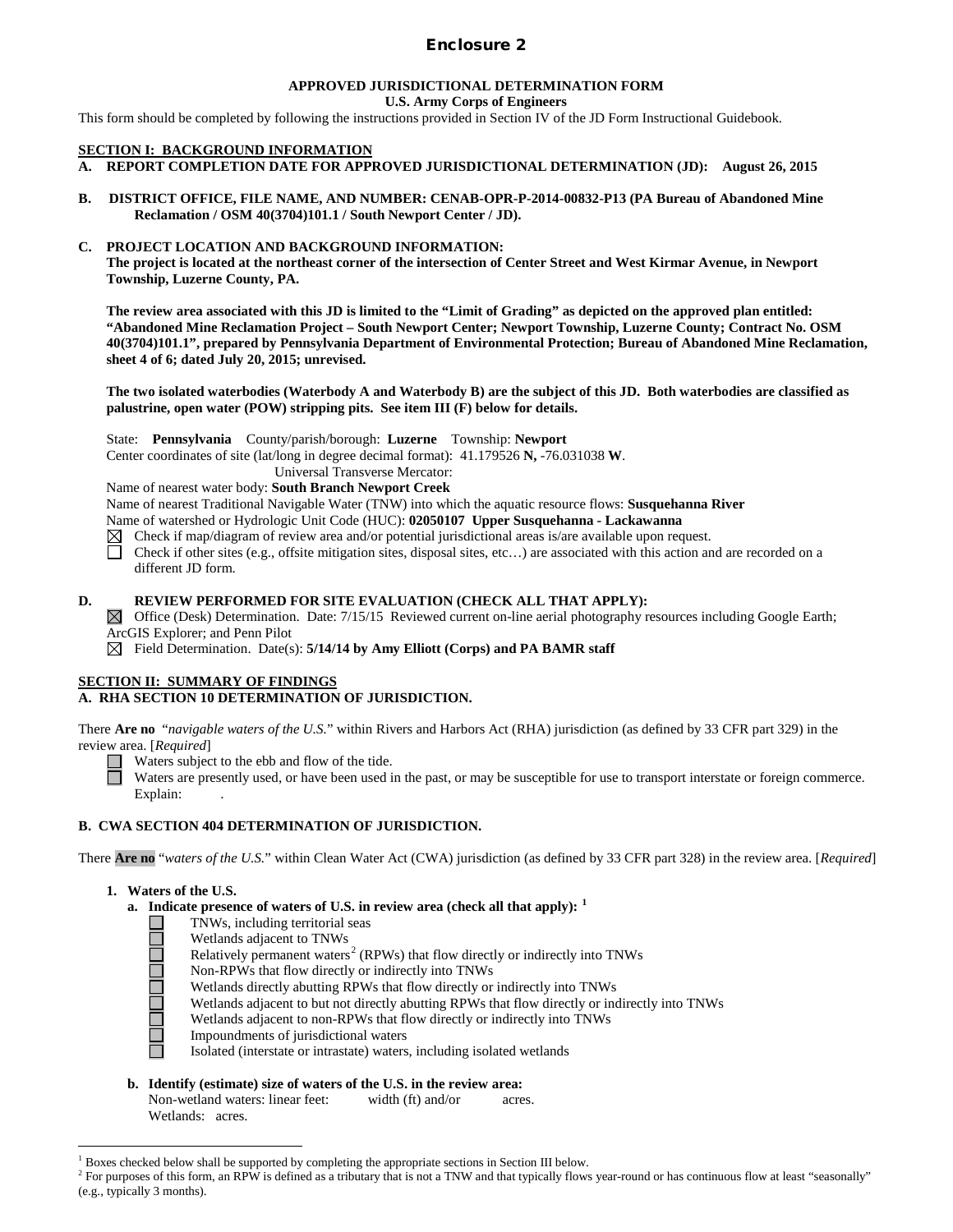# Enclosure 2

#### **APPROVED JURISDICTIONAL DETERMINATION FORM U.S. Army Corps of Engineers**

This form should be completed by following the instructions provided in Section IV of the JD Form Instructional Guidebook.

### **SECTION I: BACKGROUND INFORMATION**

- **A. REPORT COMPLETION DATE FOR APPROVED JURISDICTIONAL DETERMINATION (JD): August 26, 2015**
- **B. DISTRICT OFFICE, FILE NAME, AND NUMBER: CENAB-OPR-P-2014-00832-P13 (PA Bureau of Abandoned Mine Reclamation / OSM 40(3704)101.1 / South Newport Center / JD).**

## **C. PROJECT LOCATION AND BACKGROUND INFORMATION:**

**The project is located at the northeast corner of the intersection of Center Street and West Kirmar Avenue, in Newport Township, Luzerne County, PA.** 

**The review area associated with this JD is limited to the "Limit of Grading" as depicted on the approved plan entitled: "Abandoned Mine Reclamation Project – South Newport Center; Newport Township, Luzerne County; Contract No. OSM 40(3704)101.1", prepared by Pennsylvania Department of Environmental Protection; Bureau of Abandoned Mine Reclamation, sheet 4 of 6; dated July 20, 2015; unrevised.**

**The two isolated waterbodies (Waterbody A and Waterbody B) are the subject of this JD. Both waterbodies are classified as palustrine, open water (POW) stripping pits. See item III (F) below for details.**

State: **Pennsylvania** County/parish/borough: **Luzerne** Township: **Newport**

Center coordinates of site (lat/long in degree decimal format): 41.179526 **N,** -76.031038 **W**.

Universal Transverse Mercator:

Name of nearest water body: **South Branch Newport Creek**

Name of nearest Traditional Navigable Water (TNW) into which the aquatic resource flows: **Susquehanna River**

Name of watershed or Hydrologic Unit Code (HUC): **02050107 Upper Susquehanna - Lackawanna**

- Check if map/diagram of review area and/or potential jurisdictional areas is/are available upon request.
- ñ Check if other sites (e.g., offsite mitigation sites, disposal sites, etc…) are associated with this action and are recorded on a different JD form.

### **D. REVIEW PERFORMED FOR SITE EVALUATION (CHECK ALL THAT APPLY):**

 $\boxtimes$  Office (Desk) Determination. Date: 7/15/15 Reviewed current on-line aerial photography resources including Google Earth; ArcGIS Explorer; and Penn Pilot

 $\boxtimes$  Field Determination. Date(s): **5/14/14 by Amy Elliott (Corps) and PA BAMR staff** 

## **SECTION II: SUMMARY OF FINDINGS**

## **A. RHA SECTION 10 DETERMINATION OF JURISDICTION.**

There **Are no** "*navigable waters of the U.S.*" within Rivers and Harbors Act (RHA) jurisdiction (as defined by 33 CFR part 329) in the review area. [*Required*]

Waters subject to the ebb and flow of the tide.

Waters are presently used, or have been used in the past, or may be susceptible for use to transport interstate or foreign commerce. Explain:

## **B. CWA SECTION 404 DETERMINATION OF JURISDICTION.**

There **Are no** "*waters of the U.S.*" within Clean Water Act (CWA) jurisdiction (as defined by 33 CFR part 328) in the review area. [*Required*]

### **1. Waters of the U.S.**

- **a. Indicate presence of waters of U.S. in review area (check all that apply): [1](#page-0-0)**
	- TNWs, including territorial seas
	- Wetlands adjacent to TNWs
	- Relatively permanent waters<sup>[2](#page-0-1)</sup> (RPWs) that flow directly or indirectly into TNWs
	- Non-RPWs that flow directly or indirectly into TNWs
	- Wetlands directly abutting RPWs that flow directly or indirectly into TNWs
	- Wetlands adjacent to but not directly abutting RPWs that flow directly or indirectly into TNWs

Wetlands adjacent to non-RPWs that flow directly or indirectly into TNWs

- Impoundments of jurisdictional waters
- Isolated (interstate or intrastate) waters, including isolated wetlands
- **b. Identify (estimate) size of waters of the U.S. in the review area:** Non-wetland waters: linear feet: width (ft) and/or acres. Wetlands: acres.

 $<sup>1</sup>$  Boxes checked below shall be supported by completing the appropriate sections in Section III below.</sup>

<span id="page-0-1"></span><span id="page-0-0"></span><sup>&</sup>lt;sup>2</sup> For purposes of this form, an RPW is defined as a tributary that is not a TNW and that typically flows year-round or has continuous flow at least "seasonally" (e.g., typically 3 months).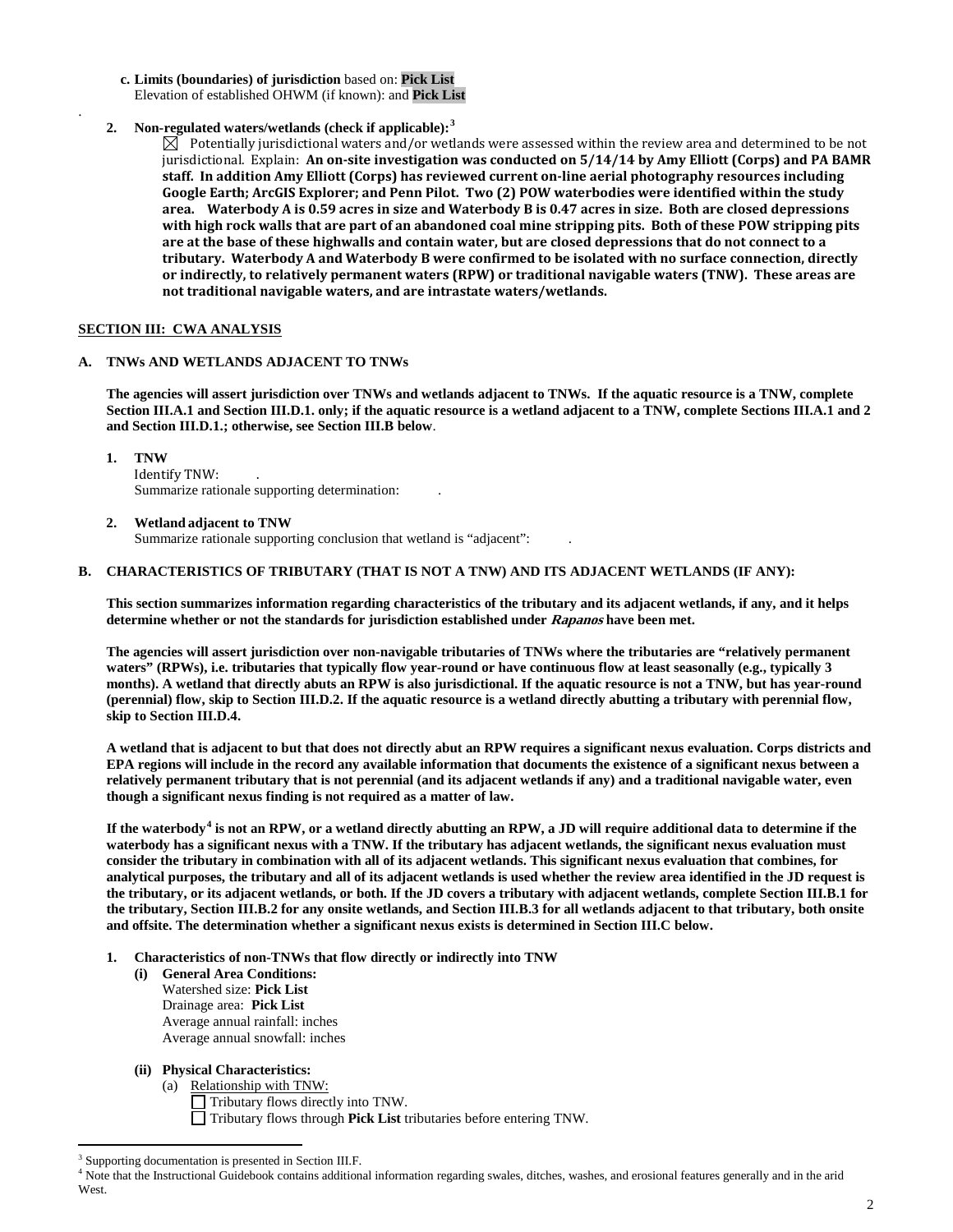- **c. Limits (boundaries) of jurisdiction** based on: **Pick List** Elevation of established OHWM (if known): and **Pick List**
- **2. Non-regulated waters/wetlands (check if applicable):[3](#page-1-0)**

 $\boxtimes$  Potentially jurisdictional waters and/or wetlands were assessed within the review area and determined to be not jurisdictional. Explain: **An on-site investigation was conducted on 5/14/14 by Amy Elliott (Corps) and PA BAMR staff. In addition Amy Elliott (Corps) has reviewed current on-line aerial photography resources including Google Earth; ArcGIS Explorer; and Penn Pilot. Two (2) POW waterbodies were identified within the study area. Waterbody A is 0.59 acres in size and Waterbody B is 0.47 acres in size. Both are closed depressions with high rock walls that are part of an abandoned coal mine stripping pits. Both of these POW stripping pits are at the base of these highwalls and contain water, but are closed depressions that do not connect to a tributary. Waterbody A and Waterbody B were confirmed to be isolated with no surface connection, directly or indirectly, to relatively permanent waters (RPW) or traditional navigable waters (TNW). These areas are not traditional navigable waters, and are intrastate waters/wetlands.**

## **SECTION III: CWA ANALYSIS**

## **A. TNWs AND WETLANDS ADJACENT TO TNWs**

**The agencies will assert jurisdiction over TNWs and wetlands adjacent to TNWs. If the aquatic resource is a TNW, complete Section III.A.1 and Section III.D.1. only; if the aquatic resource is a wetland adjacent to a TNW, complete Sections III.A.1 and 2 and Section III.D.1.; otherwise, see Section III.B below**.

**1. TNW** 

.

Identify TNW: . Summarize rationale supporting determination: .

**2. Wetland adjacent to TNW** 

Summarize rationale supporting conclusion that wetland is "adjacent": .

## **B. CHARACTERISTICS OF TRIBUTARY (THAT IS NOT A TNW) AND ITS ADJACENT WETLANDS (IF ANY):**

**This section summarizes information regarding characteristics of the tributary and its adjacent wetlands, if any, and it helps determine whether or not the standards for jurisdiction established under Rapanos have been met.** 

**The agencies will assert jurisdiction over non-navigable tributaries of TNWs where the tributaries are "relatively permanent waters" (RPWs), i.e. tributaries that typically flow year-round or have continuous flow at least seasonally (e.g., typically 3 months). A wetland that directly abuts an RPW is also jurisdictional. If the aquatic resource is not a TNW, but has year-round (perennial) flow, skip to Section III.D.2. If the aquatic resource is a wetland directly abutting a tributary with perennial flow, skip to Section III.D.4.** 

**A wetland that is adjacent to but that does not directly abut an RPW requires a significant nexus evaluation. Corps districts and EPA regions will include in the record any available information that documents the existence of a significant nexus between a relatively permanent tributary that is not perennial (and its adjacent wetlands if any) and a traditional navigable water, even though a significant nexus finding is not required as a matter of law.**

**If the waterbody[4](#page-1-1) is not an RPW, or a wetland directly abutting an RPW, a JD will require additional data to determine if the waterbody has a significant nexus with a TNW. If the tributary has adjacent wetlands, the significant nexus evaluation must consider the tributary in combination with all of its adjacent wetlands. This significant nexus evaluation that combines, for analytical purposes, the tributary and all of its adjacent wetlands is used whether the review area identified in the JD request is the tributary, or its adjacent wetlands, or both. If the JD covers a tributary with adjacent wetlands, complete Section III.B.1 for the tributary, Section III.B.2 for any onsite wetlands, and Section III.B.3 for all wetlands adjacent to that tributary, both onsite and offsite. The determination whether a significant nexus exists is determined in Section III.C below.**

- **1. Characteristics of non-TNWs that flow directly or indirectly into TNW**
	- **(i) General Area Conditions:** Watershed size: **Pick List** Drainage area: **Pick List** Average annual rainfall: inches Average annual snowfall: inches

## **(ii) Physical Characteristics:**

(a) Relationship with TNW:

Tributary flows directly into TNW. Tributary flows through **Pick List** tributaries before entering TNW.

<span id="page-1-0"></span>Supporting documentation is presented in Section III.F.

<span id="page-1-1"></span><sup>&</sup>lt;sup>4</sup> Note that the Instructional Guidebook contains additional information regarding swales, ditches, washes, and erosional features generally and in the arid West.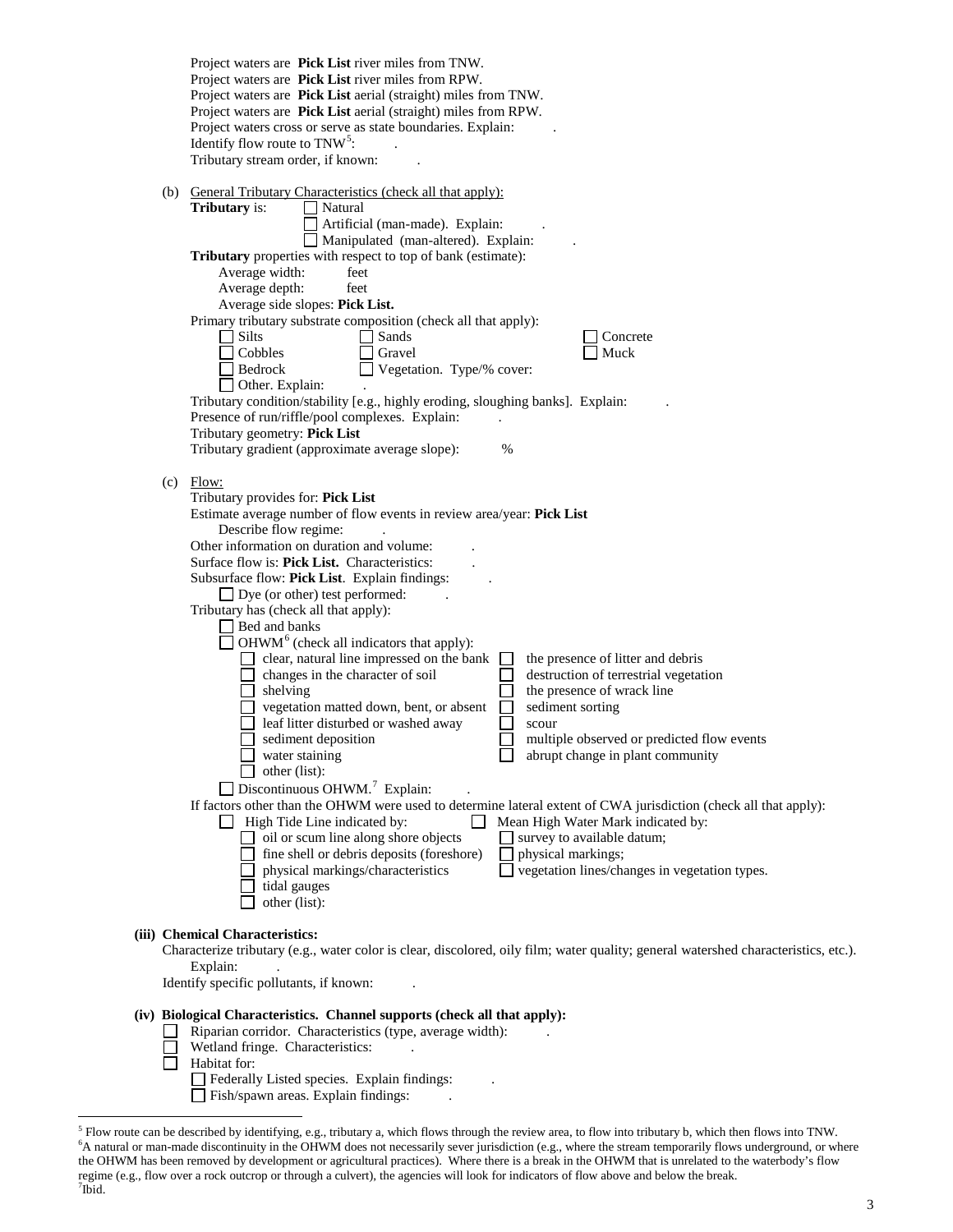|     | Project waters are <b>Pick List</b> river miles from TNW.<br>Project waters are Pick List river miles from RPW.                                              |
|-----|--------------------------------------------------------------------------------------------------------------------------------------------------------------|
|     | Project waters are Pick List aerial (straight) miles from TNW.                                                                                               |
|     | Project waters are Pick List aerial (straight) miles from RPW.                                                                                               |
|     | Project waters cross or serve as state boundaries. Explain:                                                                                                  |
|     | Identify flow route to $TNW^5$ :<br>Tributary stream order, if known:                                                                                        |
|     |                                                                                                                                                              |
| (b) | <b>General Tributary Characteristics (check all that apply):</b>                                                                                             |
|     | Tributary is:<br>Natural                                                                                                                                     |
|     | Artificial (man-made). Explain:<br>Manipulated (man-altered). Explain:                                                                                       |
|     | Tributary properties with respect to top of bank (estimate):                                                                                                 |
|     | Average width:<br>feet                                                                                                                                       |
|     | Average depth:<br>feet                                                                                                                                       |
|     | Average side slopes: Pick List.                                                                                                                              |
|     | Primary tributary substrate composition (check all that apply):                                                                                              |
|     | Silts<br>Sands<br>Concrete                                                                                                                                   |
|     | Cobbles<br>Gravel<br>Muck                                                                                                                                    |
|     | Bedrock<br>Vegetation. Type/% cover:<br>Other. Explain:                                                                                                      |
|     | Tributary condition/stability [e.g., highly eroding, sloughing banks]. Explain:                                                                              |
|     | Presence of run/riffle/pool complexes. Explain:                                                                                                              |
|     | Tributary geometry: Pick List                                                                                                                                |
|     | Tributary gradient (approximate average slope):<br>$\%$                                                                                                      |
|     |                                                                                                                                                              |
| (c) | Flow:<br>Tributary provides for: Pick List                                                                                                                   |
|     | Estimate average number of flow events in review area/year: Pick List                                                                                        |
|     | Describe flow regime:                                                                                                                                        |
|     | Other information on duration and volume:                                                                                                                    |
|     | Surface flow is: <b>Pick List.</b> Characteristics:                                                                                                          |
|     | Subsurface flow: Pick List. Explain findings:                                                                                                                |
|     | $\Box$ Dye (or other) test performed:                                                                                                                        |
|     | Tributary has (check all that apply):<br>$\Box$ Bed and banks                                                                                                |
|     | $\Box$ OHWM <sup>6</sup> (check all indicators that apply):                                                                                                  |
|     | clear, natural line impressed on the bank<br>the presence of litter and debris                                                                               |
|     | changes in the character of soil<br>destruction of terrestrial vegetation                                                                                    |
|     | the presence of wrack line<br>shelving                                                                                                                       |
|     | sediment sorting<br>vegetation matted down, bent, or absent                                                                                                  |
|     | leaf litter disturbed or washed away<br>scour<br>sediment deposition<br>multiple observed or predicted flow events                                           |
|     | abrupt change in plant community<br>$\blacksquare$ water staining                                                                                            |
|     | other (list):                                                                                                                                                |
|     | $\Box$ Discontinuous OHWM. <sup>7</sup> Explain:                                                                                                             |
|     | If factors other than the OHWM were used to determine lateral extent of CWA jurisdiction (check all that apply):                                             |
|     | High Tide Line indicated by:<br>Mean High Water Mark indicated by:                                                                                           |
|     | oil or scum line along shore objects<br>survey to available datum;                                                                                           |
|     | fine shell or debris deposits (foreshore)<br>physical markings;<br>$\Box$ vegetation lines/changes in vegetation types.<br>physical markings/characteristics |
|     | tidal gauges                                                                                                                                                 |
|     | other (list):                                                                                                                                                |
|     |                                                                                                                                                              |
|     | (iii) Chemical Characteristics:                                                                                                                              |
|     | Characterize tributary (e.g., water color is clear, discolored, oily film; water quality; general watershed characteristics, etc.).<br>Explain:              |
|     | Identify specific pollutants, if known:                                                                                                                      |
|     |                                                                                                                                                              |
|     | (iv) Biological Characteristics. Channel supports (check all that apply):                                                                                    |
|     | Riparian corridor. Characteristics (type, average width):                                                                                                    |
|     | Wetland fringe. Characteristics:<br>Habitat for:                                                                                                             |
|     |                                                                                                                                                              |

- Federally Listed species. Explain findings: ...
- Fish/spawn areas. Explain findings: ...

<span id="page-2-2"></span><span id="page-2-1"></span><span id="page-2-0"></span><sup>&</sup>lt;sup>5</sup> Flow route can be described by identifying, e.g., tributary a, which flows through the review area, to flow into tributary b, which then flows into TNW. <sup>6</sup>A natural or man-made discontinuity in the OHWM does not necessarily sever jurisdiction (e.g., where the stream temporarily flows underground, or where the OHWM has been removed by development or agricultural practices). Where there is a break in the OHWM that is unrelated to the waterbody's flow regime (e.g., flow over a rock outcrop or through a culvert), the agencies will look for indicators of flow above and below the break. <sup>7</sup>  $7$ Ibid.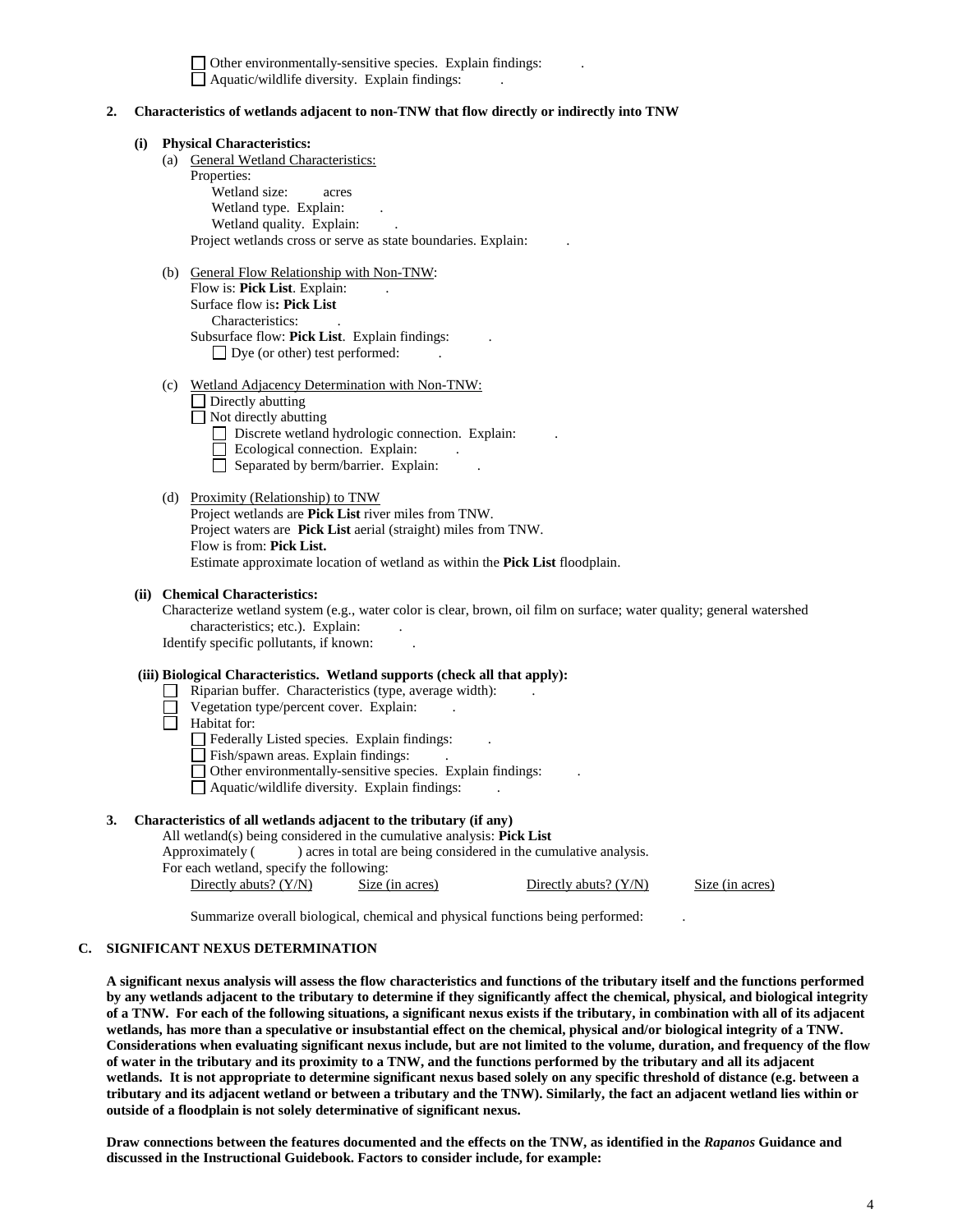$\Box$  Other environmentally-sensitive species. Explain findings:  $\Box$  Aquatic/wildlife diversity. Explain findings:

#### **2. Characteristics of wetlands adjacent to non-TNW that flow directly or indirectly into TNW**

#### **(i) Physical Characteristics:**

(a) General Wetland Characteristics:

Properties: Wetland size: acres Wetland type. Explain: Wetland quality. Explain: Project wetlands cross or serve as state boundaries. Explain: .

- (b) General Flow Relationship with Non-TNW: Flow is: **Pick List**. Explain: Surface flow is**: Pick List**  Characteristics: . Subsurface flow: **Pick List**. Explain findings: .  $\Box$  Dye (or other) test performed:
- (c) Wetland Adjacency Determination with Non-TNW:

 $\Box$  Directly abutting

□ Not directly abutting

- Discrete wetland hydrologic connection. Explain:
- $\Box$  Ecological connection. Explain:
- $\Box$  Separated by berm/barrier. Explain:

### (d) Proximity (Relationship) to TNW

Project wetlands are **Pick List** river miles from TNW. Project waters are **Pick List** aerial (straight) miles from TNW. Flow is from: **Pick List.** Estimate approximate location of wetland as within the **Pick List** floodplain.

#### **(ii) Chemical Characteristics:**

Characterize wetland system (e.g., water color is clear, brown, oil film on surface; water quality; general watershed characteristics; etc.). Explain:

Identify specific pollutants, if known: .

## **(iii) Biological Characteristics. Wetland supports (check all that apply):**

- Riparian buffer. Characteristics (type, average width): .
	- Vegetation type/percent cover. Explain:
- $\Box$  Habitat for:

Federally Listed species. Explain findings:

Fish/spawn areas. Explain findings:

 $\Box$  Other environmentally-sensitive species. Explain findings:

Aquatic/wildlife diversity. Explain findings: .

## **3. Characteristics of all wetlands adjacent to the tributary (if any)**

All wetland(s) being considered in the cumulative analysis: **Pick List** Approximately ( ) acres in total are being considered in the cumulative analysis. For each wetland, specify the following: Directly abuts? (Y/N) Size (in acres) Directly abuts? (Y/N) Size (in acres)

Summarize overall biological, chemical and physical functions being performed: .

## **C. SIGNIFICANT NEXUS DETERMINATION**

**A significant nexus analysis will assess the flow characteristics and functions of the tributary itself and the functions performed by any wetlands adjacent to the tributary to determine if they significantly affect the chemical, physical, and biological integrity of a TNW. For each of the following situations, a significant nexus exists if the tributary, in combination with all of its adjacent wetlands, has more than a speculative or insubstantial effect on the chemical, physical and/or biological integrity of a TNW. Considerations when evaluating significant nexus include, but are not limited to the volume, duration, and frequency of the flow of water in the tributary and its proximity to a TNW, and the functions performed by the tributary and all its adjacent wetlands. It is not appropriate to determine significant nexus based solely on any specific threshold of distance (e.g. between a tributary and its adjacent wetland or between a tributary and the TNW). Similarly, the fact an adjacent wetland lies within or outside of a floodplain is not solely determinative of significant nexus.** 

**Draw connections between the features documented and the effects on the TNW, as identified in the** *Rapanos* **Guidance and discussed in the Instructional Guidebook. Factors to consider include, for example:**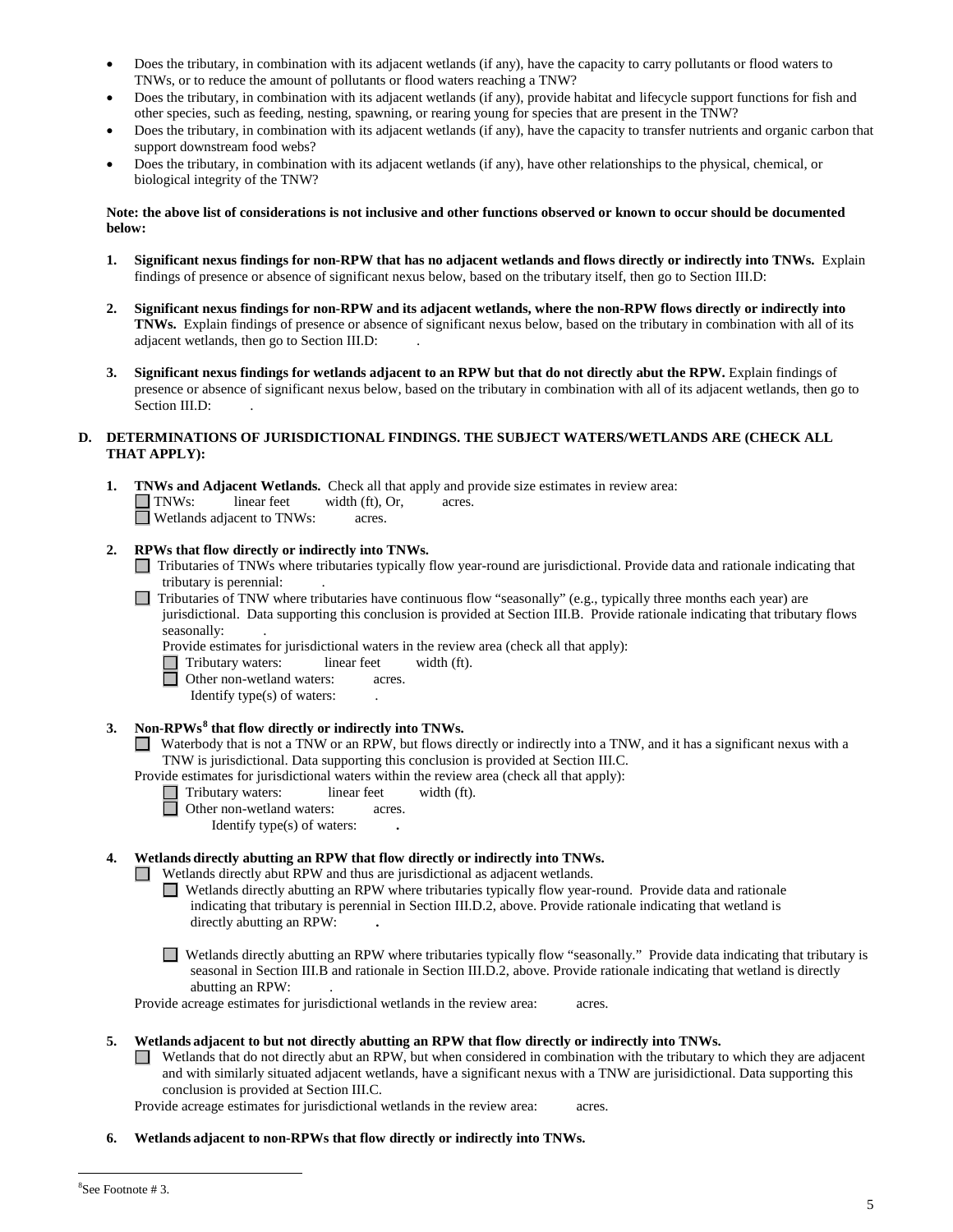- Does the tributary, in combination with its adjacent wetlands (if any), have the capacity to carry pollutants or flood waters to TNWs, or to reduce the amount of pollutants or flood waters reaching a TNW?
- Does the tributary, in combination with its adjacent wetlands (if any), provide habitat and lifecycle support functions for fish and other species, such as feeding, nesting, spawning, or rearing young for species that are present in the TNW?
- Does the tributary, in combination with its adjacent wetlands (if any), have the capacity to transfer nutrients and organic carbon that support downstream food webs?
- Does the tributary, in combination with its adjacent wetlands (if any), have other relationships to the physical, chemical, or biological integrity of the TNW?

#### **Note: the above list of considerations is not inclusive and other functions observed or known to occur should be documented below:**

- **1. Significant nexus findings for non-RPW that has no adjacent wetlands and flows directly or indirectly into TNWs.** Explain findings of presence or absence of significant nexus below, based on the tributary itself, then go to Section III.D:
- **2. Significant nexus findings for non-RPW and its adjacent wetlands, where the non-RPW flows directly or indirectly into TNWs.** Explain findings of presence or absence of significant nexus below, based on the tributary in combination with all of its adjacent wetlands, then go to Section III.D: .
- **3. Significant nexus findings for wetlands adjacent to an RPW but that do not directly abut the RPW.** Explain findings of presence or absence of significant nexus below, based on the tributary in combination with all of its adjacent wetlands, then go to Section III.D:

# **D. DETERMINATIONS OF JURISDICTIONAL FINDINGS. THE SUBJECT WATERS/WETLANDS ARE (CHECK ALL THAT APPLY):**

**1. TNWs and Adjacent Wetlands.** Check all that apply and provide size estimates in review area: TNWs: linear feet width (ft), Or, acres. Wetlands adjacent to TNWs: acres.

## **2. RPWs that flow directly or indirectly into TNWs.**

- Tributaries of TNWs where tributaries typically flow year-round are jurisdictional. Provide data and rationale indicating that tributary is perennial: .
- Tributaries of TNW where tributaries have continuous flow "seasonally" (e.g., typically three months each year) are jurisdictional. Data supporting this conclusion is provided at Section III.B. Provide rationale indicating that tributary flows seasonally: .

Provide estimates for jurisdictional waters in the review area (check all that apply):<br>
Tributary waters: linear feet width (ft).

- Tributary waters: linear feet width (ft).
- **Detect** Other non-wetland waters: acres.
	- Identify type(s) of waters: .

# **3. Non-RPWs[8](#page-4-0) that flow directly or indirectly into TNWs.**

Waterbody that is not a TNW or an RPW, but flows directly or indirectly into a TNW, and it has a significant nexus with a TNW is jurisdictional. Data supporting this conclusion is provided at Section III.C.

Provide estimates for jurisdictional waters within the review area (check all that apply):

- Tributary waters: linear feet width (ft).
- **D** Other non-wetland waters: acres.
	- Identify type(s) of waters: **.**

## **4. Wetlands directly abutting an RPW that flow directly or indirectly into TNWs.**

Wetlands directly abut RPW and thus are jurisdictional as adjacent wetlands.

- Wetlands directly abutting an RPW where tributaries typically flow year-round. Provide data and rationale indicating that tributary is perennial in Section III.D.2, above. Provide rationale indicating that wetland is directly abutting an RPW: **.**
- Wetlands directly abutting an RPW where tributaries typically flow "seasonally." Provide data indicating that tributary is seasonal in Section III.B and rationale in Section III.D.2, above. Provide rationale indicating that wetland is directly abutting an RPW: .

Provide acreage estimates for jurisdictional wetlands in the review area: acres.

- **5. Wetlands adjacent to but not directly abutting an RPW that flow directly or indirectly into TNWs.**
	- Wetlands that do not directly abut an RPW, but when considered in combination with the tributary to which they are adjacent and with similarly situated adjacent wetlands, have a significant nexus with a TNW are jurisidictional. Data supporting this conclusion is provided at Section III.C.

Provide acreage estimates for jurisdictional wetlands in the review area: acres.

<span id="page-4-0"></span>**6. Wetlands adjacent to non-RPWs that flow directly or indirectly into TNWs.**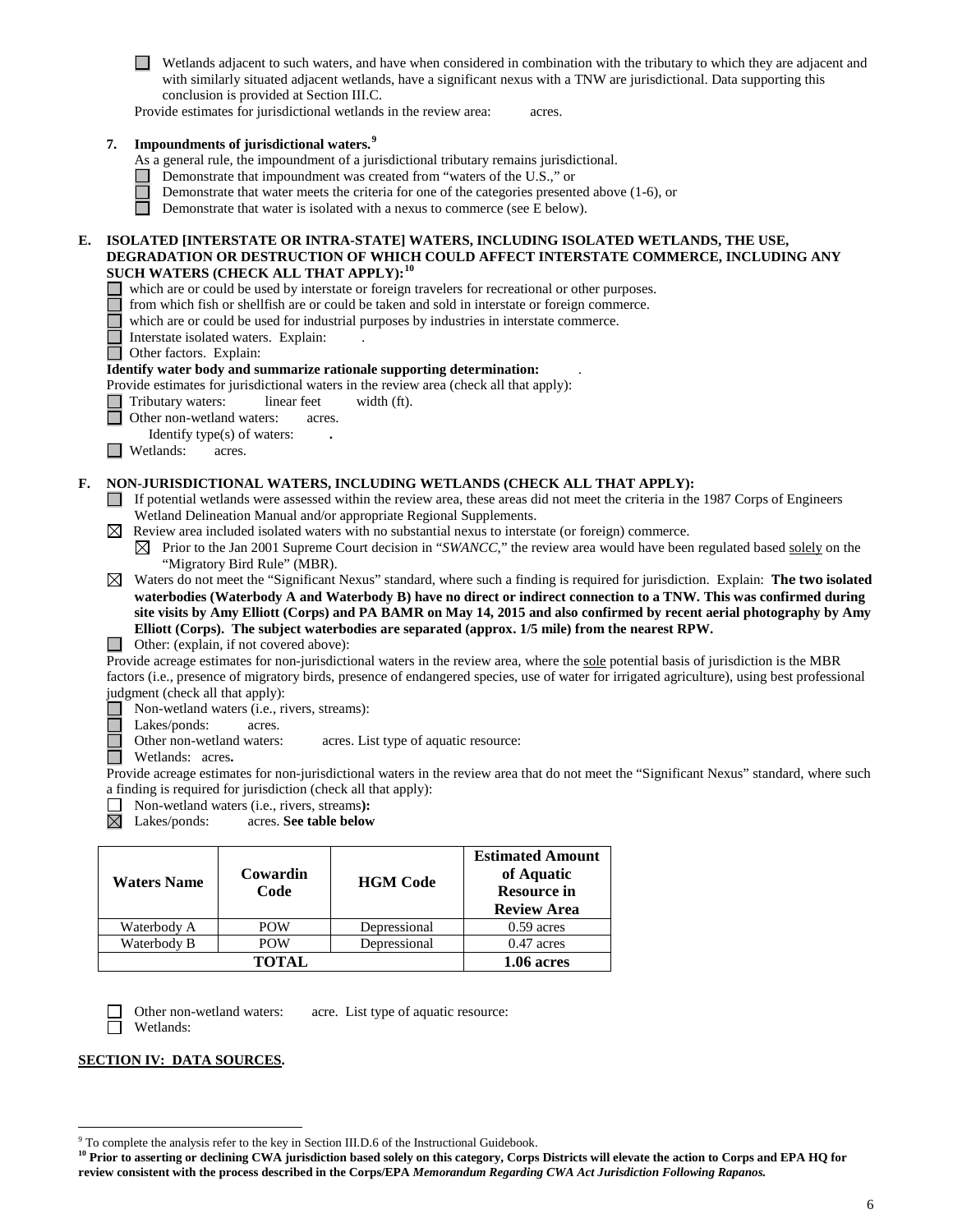Wetlands adjacent to such waters, and have when considered in combination with the tributary to which they are adjacent and with similarly situated adjacent wetlands, have a significant nexus with a TNW are jurisdictional. Data supporting this conclusion is provided at Section III.C.

Provide estimates for jurisdictional wetlands in the review area: acres.

## **7. Impoundments of jurisdictional waters.[9](#page-5-0)**

As a general rule, the impoundment of a jurisdictional tributary remains jurisdictional.

- Demonstrate that impoundment was created from "waters of the U.S.," or
	- Demonstrate that water meets the criteria for one of the categories presented above (1-6), or
- П Demonstrate that water is isolated with a nexus to commerce (see E below).

### **E. ISOLATED [INTERSTATE OR INTRA-STATE] WATERS, INCLUDING ISOLATED WETLANDS, THE USE, DEGRADATION OR DESTRUCTION OF WHICH COULD AFFECT INTERSTATE COMMERCE, INCLUDING ANY SUCH WATERS (CHECK ALL THAT APPLY):[10](#page-5-1)**

- which are or could be used by interstate or foreign travelers for recreational or other purposes.
- from which fish or shellfish are or could be taken and sold in interstate or foreign commerce.
- $\Box$ which are or could be used for industrial purposes by industries in interstate commerce.
- Interstate isolated waters.Explain: .

Other factors.Explain:

#### **Identify water body and summarize rationale supporting determination:** .

Provide estimates for jurisdictional waters in the review area (check all that apply):

Tributary waters: linear feet width (ft).

- Other non-wetland waters: acres.
- Identify type(s) of waters: **.**

**Netlands:** acres.

#### **F. NON-JURISDICTIONAL WATERS, INCLUDING WETLANDS (CHECK ALL THAT APPLY):**

- If potential wetlands were assessed within the review area, these areas did not meet the criteria in the 1987 Corps of Engineers Wetland Delineation Manual and/or appropriate Regional Supplements.
- $\boxtimes$  Review area included isolated waters with no substantial nexus to interstate (or foreign) commerce.

 $\boxtimes$  Prior to the Jan 2001 Supreme Court decision in "*SWANCC*," the review area would have been regulated based solely on the "Migratory Bird Rule" (MBR).

Waters do not meet the "Significant Nexus" standard, where such a finding is required for jurisdiction. Explain: **The two isolated waterbodies (Waterbody A and Waterbody B) have no direct or indirect connection to a TNW. This was confirmed during site visits by Amy Elliott (Corps) and PA BAMR on May 14, 2015 and also confirmed by recent aerial photography by Amy Elliott (Corps). The subject waterbodies are separated (approx. 1/5 mile) from the nearest RPW.**

□ Other: (explain, if not covered above):

Provide acreage estimates for non-jurisdictional waters in the review area, where the sole potential basis of jurisdiction is the MBR factors (i.e., presence of migratory birds, presence of endangered species, use of water for irrigated agriculture), using best professional judgment (check all that apply):

■ Non-wetland waters (i.e., rivers, streams):<br>■ Lakes/ponds: acres.

Lakes/ponds: acres.

ō Other non-wetland waters: acres. List type of aquatic resource:

Wetlands: acres**.** 

Provide acreage estimates for non-jurisdictional waters in the review area that do not meet the "Significant Nexus" standard, where such a finding is required for jurisdiction (check all that apply):

- □ Non-wetland waters (i.e., rivers, streams):<br> **Lakes/ponds:** acres. **See table below**
- Lakes/ponds: acres. **See table below**  $\boxtimes$

| <b>Waters Name</b> | Cowardin<br>Code | <b>HGM Code</b> | <b>Estimated Amount</b><br>of Aquatic<br><b>Resource in</b><br><b>Review Area</b> |
|--------------------|------------------|-----------------|-----------------------------------------------------------------------------------|
| Waterbody A        | <b>POW</b>       | Depressional    | $0.59$ acres                                                                      |
| Waterbody B        | <b>POW</b>       | Depressional    | $0.47$ acres                                                                      |
|                    | TOTAL.           |                 | 1.06 acres                                                                        |

П

Other non-wetland waters: acre. List type of aquatic resource: Wetlands:

**SECTION IV: DATA SOURCES.**

<span id="page-5-0"></span> <sup>9</sup> To complete the analysis refer to the key in Section III.D.6 of the Instructional Guidebook.

<span id="page-5-1"></span>**<sup>10</sup> Prior to asserting or declining CWA jurisdiction based solely on this category, Corps Districts will elevate the action to Corps and EPA HQ for review consistent with the process described in the Corps/EPA** *Memorandum Regarding CWA Act Jurisdiction Following Rapanos.*